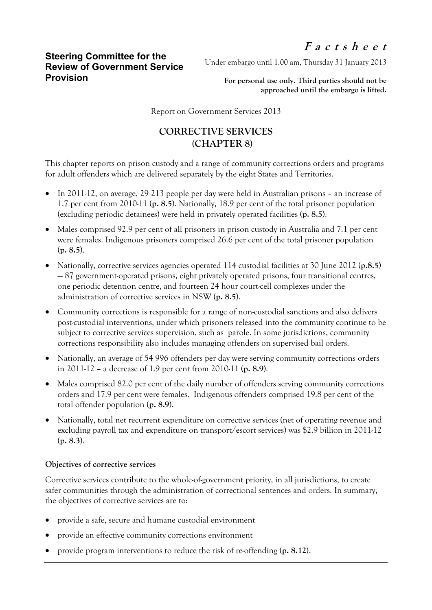Under embargo until 1.00 am, Thursday 31 January 2013

**For personal use only. Third parties should not be approached until the embargo is lifted.**

Report on Government Services 2013

## **CORRECTIVE SERVICES (CHAPTER 8)**

This chapter reports on prison custody and a range of community corrections orders and programs for adult offenders which are delivered separately by the eight States and Territories.

- In 2011-12, on average, 29 213 people per day were held in Australian prisons an increase of 1.7 per cent from 2010-11 (**p. 8.5**). Nationally, 18.9 per cent of the total prisoner population (excluding periodic detainees) were held in privately operated facilities (**p. 8.5**).
- Males comprised 92.9 per cent of all prisoners in prison custody in Australia and 7.1 per cent were females. Indigenous prisoners comprised 26.6 per cent of the total prisoner population (**p. 8.5**).
- Nationally, corrective services agencies operated 114 custodial facilities at 30 June 2012 (**p.8.5**) — 87 government-operated prisons, eight privately operated prisons, four transitional centres, one periodic detention centre, and fourteen 24 hour court-cell complexes under the administration of corrective services in NSW (**p. 8.5**).
- Community corrections is responsible for a range of non-custodial sanctions and also delivers post-custodial interventions, under which prisoners released into the community continue to be subject to corrective services supervision, such as parole. In some jurisdictions, community corrections responsibility also includes managing offenders on supervised bail orders.
- Nationally, an average of 54 996 offenders per day were serving community corrections orders in 2011-12 – a decrease of 1.9 per cent from 2010-11 (**p. 8.9**).
- Males comprised 82.0 per cent of the daily number of offenders serving community corrections orders and 17.9 per cent were females. Indigenous offenders comprised 19.8 per cent of the total offender population (**p. 8.9**).
- Nationally, total net recurrent expenditure on corrective services (net of operating revenue and excluding payroll tax and expenditure on transport/escort services) was \$2.9 billion in 2011-12 (**p. 8.3**).

## **Objectives of corrective services**

Corrective services contribute to the whole-of-government priority, in all jurisdictions, to create safer communities through the administration of correctional sentences and orders. In summary, the objectives of corrective services are to:

- provide a safe, secure and humane custodial environment
- provide an effective community corrections environment
- provide program interventions to reduce the risk of re-offending (**p. 8.12)**.